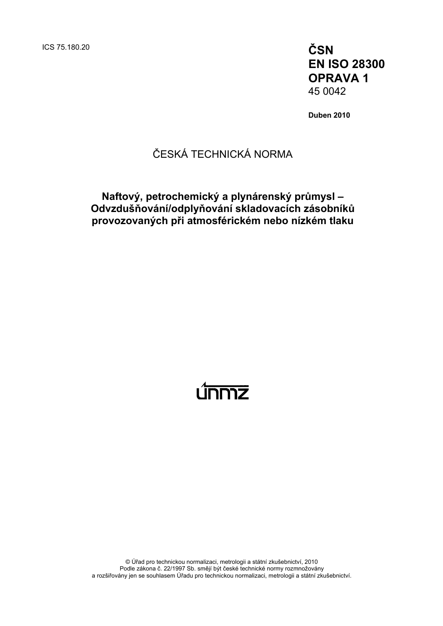**EN ISO 28300 OPRAVA 1**  45 0042

**Duben 2010** 

## ČESKÁ TECHNICKÁ NORMA

### **Naftový, petrochemický a plynárenský průmysl – Odvzdušňování/odplyňování skladovacích zásobníků provozovaných při atmosférickém nebo nízkém tlaku**

# ummz

© Úřad pro technickou normalizaci, metrologii a státní zkušebnictví, 2010 Podle zákona č. 22/1997 Sb. smějí být české technické normy rozmnožovány a rozšiřovány jen se souhlasem Úřadu pro technickou normalizaci, metrologii a státní zkušebnictví.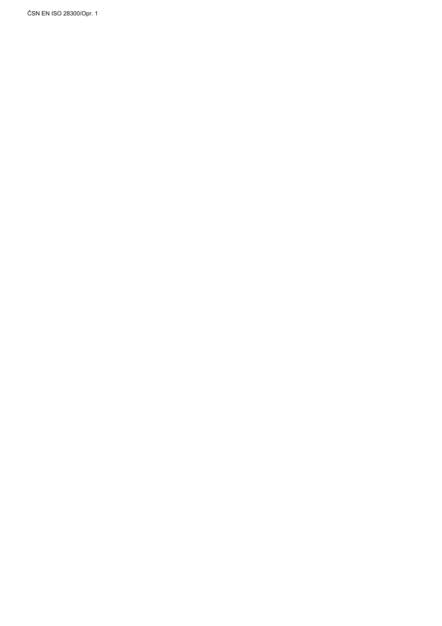ČSN EN ISO 28300/Opr. 1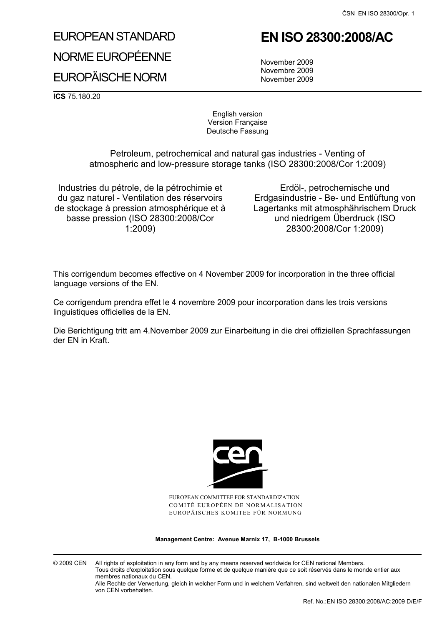## EUROPEAN STANDARD NORME EUROPÉENNE

# EUROPÄISCHE NORM

# **EN ISO 28300:2008/AC**

 November 2009 Novembre 2009 November 2009

**ICS** 75.180.20

English version Version Française Deutsche Fassung

 Petroleum, petrochemical and natural gas industries - Venting of atmospheric and low-pressure storage tanks (ISO 28300:2008/Cor 1:2009)

Industries du pétrole, de la pétrochimie et du gaz naturel - Ventilation des réservoirs de stockage à pression atmosphérique et à basse pression (ISO 28300:2008/Cor 1:2009)

 Erdöl-, petrochemische und Erdgasindustrie - Be- und Entlüftung von Lagertanks mit atmosphährischem Druck und niedrigem Überdruck (ISO 28300:2008/Cor 1:2009)

This corrigendum becomes effective on 4 November 2009 for incorporation in the three official language versions of the EN.

Ce corrigendum prendra effet le 4 novembre 2009 pour incorporation dans les trois versions linguistiques officielles de la EN.

Die Berichtigung tritt am 4.November 2009 zur Einarbeitung in die drei offiziellen Sprachfassungen der EN in Kraft.



EUROPEAN COMMITTEE FOR STANDARDIZATION COMITÉ EUROPÉEN DE NORMALISATION EUROPÄISCHES KOMITEE FÜR NORMUNG

**Management Centre: Avenue Marnix 17, B-1000 Brussels** 

© 2009 CEN All rights of exploitation in any form and by any means reserved worldwide for CEN national Members. Tous droits d'exploitation sous quelque forme et de quelque manière que ce soit réservés dans le monde entier aux membres nationaux du CEN.

Alle Rechte der Verwertung, gleich in welcher Form und in welchem Verfahren, sind weltweit den nationalen Mitgliedern von CEN vorbehalten.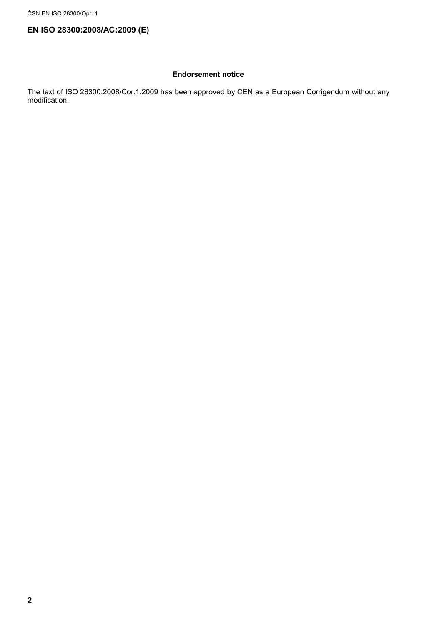ČSN EN ISO 28300/Opr. 1

### **EN ISO 28300:2008/AC:2009 (E)**

#### **Endorsement notice**

The text of ISO 28300:2008/Cor.1:2009 has been approved by CEN as a European Corrigendum without any modification.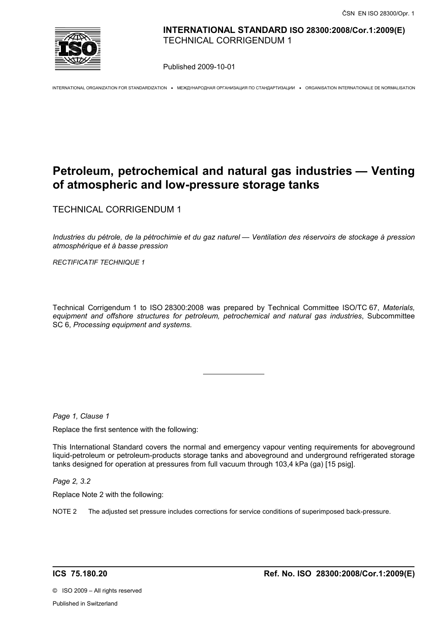

**INTERNATIONAL STANDARD ISO 28300:2008/Cor.1:2009(E)** TECHNICAL CORRIGENDUM 1

Published 2009-10-01

INTERNATIONAL ORGANIZATION FOR STANDARDIZATION • МЕЖДУНАРОДНАЯ ОРГАНИЗАЦИЯ ПО СТАНДАРТИЗАЦИИ • ORGANISATION INTERNATIONALE DE NORMALISATION

## **Petroleum, petrochemical and natural gas industries — Venting of atmospheric and low-pressure storage tanks**

TECHNICAL CORRIGENDUM 1

*Industries du pétrole, de la pétrochimie et du gaz naturel — Ventilation des réservoirs de stockage à pression atmosphérique et à basse pression* 

*RECTIFICATIF TECHNIQUE 1*

Technical Corrigendum 1 to ISO 28300:2008 was prepared by Technical Committee ISO/TC 67, *Materials, equipment and offshore structures for petroleum, petrochemical and natural gas industries*, Subcommittee SC 6, *Processing equipment and systems.* 

 $\overline{a}$ 

*Page 1, Clause 1*

Replace the first sentence with the following:

This International Standard covers the normal and emergency vapour venting requirements for aboveground liquid-petroleum or petroleum-products storage tanks and aboveground and underground refrigerated storage tanks designed for operation at pressures from full vacuum through 103,4 kPa (ga) [15 psig].

*Page 2, 3.2*

Replace Note 2 with the following:

NOTE 2 The adjusted set pressure includes corrections for service conditions of superimposed back-pressure.

©ISO 2009 – All rights reserved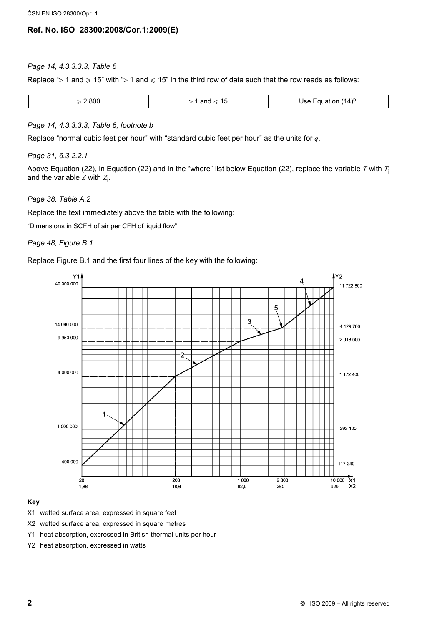#### **Ref. No. ISO 28300:2008/Cor.1:2009(E)**

#### *Page 14, 4.3.3.3.3, Table 6*

Replace "> 1 and  $\ge$  15" with "> 1 and  $\le$  15" in the third row of data such that the row reads as follows:

| 800 | and<br>15 | $'14$ <sup>p</sup><br>۹۶Ι<br>.<br>ان⊤ |
|-----|-----------|---------------------------------------|
|     |           |                                       |

#### *Page 14, 4.3.3.3.3, Table 6, footnote b*

Replace "normal cubic feet per hour" with "standard cubic feet per hour" as the units for *q*.

#### *Page 31, 6.3.2.2.1*

Above Equation (22), in Equation (22) and in the "where" list below Equation (22), replace the variable *T* with *T*<sup>i</sup> and the variable *Z* with *Z*<sup>i</sup> .

#### *Page 38, Table A.2*

Replace the text immediately above the table with the following:

"Dimensions in SCFH of air per CFH of liquid flow"

#### *Page 48, Figure B.1*

Replace Figure B.1 and the first four lines of the key with the following:



#### **Key**

- X1 wetted surface area, expressed in square feet
- X2 wetted surface area, expressed in square metres
- Y1 heat absorption, expressed in British thermal units per hour
- Y2 heat absorption, expressed in watts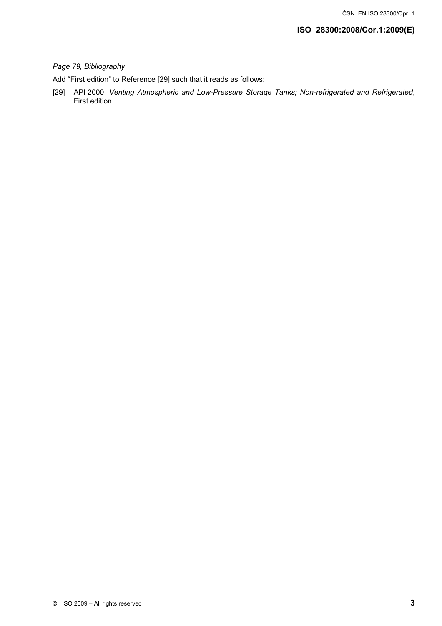**ISO 28300:2008/Cor.1:2009(E)**

#### *Page 79, Bibliography*

Add "First edition" to Reference [29] such that it reads as follows:

[29] API 2000, *Venting Atmospheric and Low-Pressure Storage Tanks; Non-refrigerated and Refrigerated*, First edition